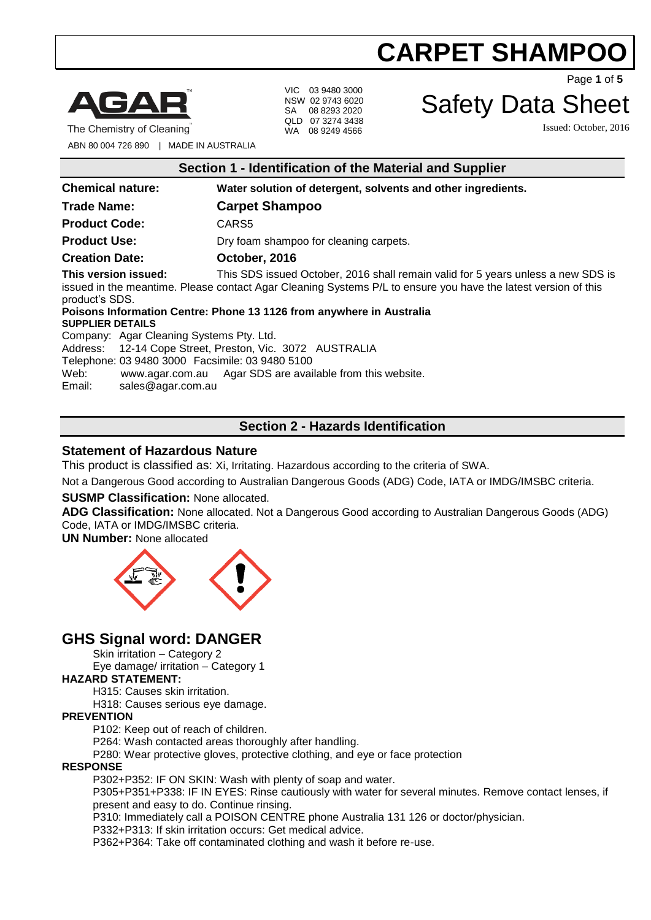

The Chemistry of Cleaning

VIC 03 9480 3000 NSW 02 9743 6020 SA 08 8293 2020 QLD 07 3274 3438 WA 08 9249 4566

Page **1** of **5**

# Safety Data Sheet

Issued: October, 2016

ABN 80 004 726 890 | MADE IN AUSTRALIA

|  |  | Section 1 - Identification of the Material and Supplier |  |  |  |  |  |
|--|--|---------------------------------------------------------|--|--|--|--|--|
|--|--|---------------------------------------------------------|--|--|--|--|--|

| <b>Chemical nature:</b>                                                                                                                                                                                 | Water solution of detergent, solvents and other ingredients.                                                                                                                                                                                                                                                                                                                                        |
|---------------------------------------------------------------------------------------------------------------------------------------------------------------------------------------------------------|-----------------------------------------------------------------------------------------------------------------------------------------------------------------------------------------------------------------------------------------------------------------------------------------------------------------------------------------------------------------------------------------------------|
| <b>Trade Name:</b>                                                                                                                                                                                      | <b>Carpet Shampoo</b>                                                                                                                                                                                                                                                                                                                                                                               |
| <b>Product Code:</b>                                                                                                                                                                                    | CARS5                                                                                                                                                                                                                                                                                                                                                                                               |
| <b>Product Use:</b>                                                                                                                                                                                     | Dry foam shampoo for cleaning carpets.                                                                                                                                                                                                                                                                                                                                                              |
| <b>Creation Date:</b>                                                                                                                                                                                   | October, 2016                                                                                                                                                                                                                                                                                                                                                                                       |
| This version issued:<br>product's SDS.<br><b>SUPPLIER DETAILS</b><br>Company: Agar Cleaning Systems Pty. Ltd.<br>Telephone: 03 9480 3000 Facsimile: 03 9480 5100<br>Web:<br>sales@agar.com.au<br>Email: | This SDS issued October, 2016 shall remain valid for 5 years unless a new SDS is<br>issued in the meantime. Please contact Agar Cleaning Systems P/L to ensure you have the latest version of this<br>Poisons Information Centre: Phone 13 1126 from anywhere in Australia<br>Address: 12-14 Cope Street, Preston, Vic. 3072 AUSTRALIA<br>www.agar.com.au Agar SDS are available from this website. |

# **Section 2 - Hazards Identification**

### **Statement of Hazardous Nature**

This product is classified as: Xi, Irritating. Hazardous according to the criteria of SWA.

Not a Dangerous Good according to Australian Dangerous Goods (ADG) Code, IATA or IMDG/IMSBC criteria.

#### **SUSMP Classification:** None allocated.

**ADG Classification:** None allocated. Not a Dangerous Good according to Australian Dangerous Goods (ADG) Code, IATA or IMDG/IMSBC criteria.

**UN Number:** None allocated



# **GHS Signal word: DANGER**

Skin irritation – Category 2

Eye damage/ irritation – Category 1

# **HAZARD STATEMENT:**

H315: Causes skin irritation.

H318: Causes serious eye damage.

#### **PREVENTION**

P102: Keep out of reach of children.

P264: Wash contacted areas thoroughly after handling.

P280: Wear protective gloves, protective clothing, and eye or face protection

#### **RESPONSE**

P302+P352: IF ON SKIN: Wash with plenty of soap and water.

P305+P351+P338: IF IN EYES: Rinse cautiously with water for several minutes. Remove contact lenses, if present and easy to do. Continue rinsing.

P310: Immediately call a POISON CENTRE phone Australia 131 126 or doctor/physician.

P332+P313: If skin irritation occurs: Get medical advice.

P362+P364: Take off contaminated clothing and wash it before re-use.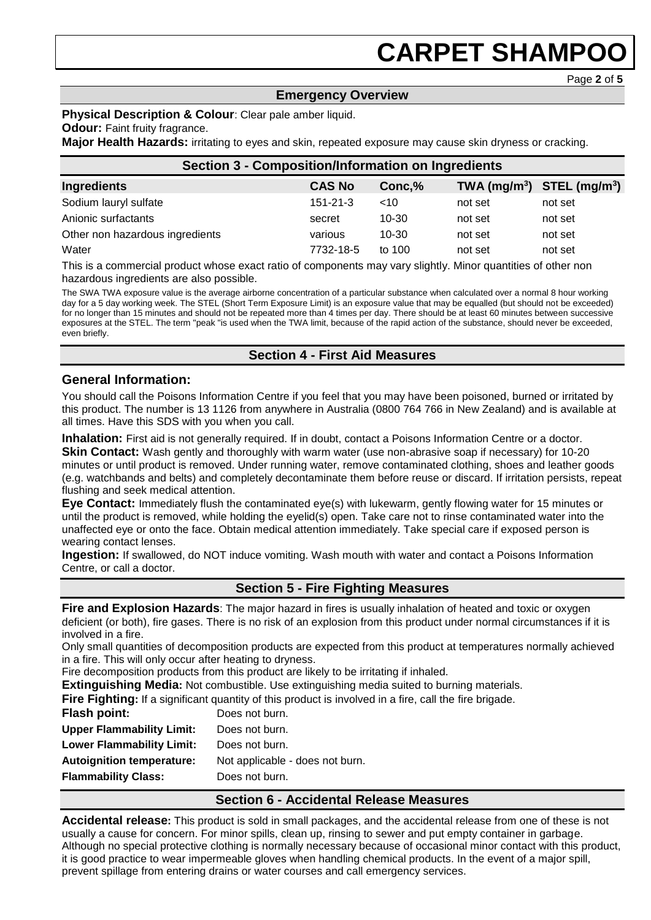Page **2** of **5**

# **Emergency Overview**

#### **Physical Description & Colour**: Clear pale amber liquid.

#### **Odour: Faint fruity fragrance.**

**Major Health Hazards:** irritating to eyes and skin, repeated exposure may cause skin dryness or cracking.

| <b>Section 3 - Composition/Information on Ingredients</b> |                |           |         |                                |
|-----------------------------------------------------------|----------------|-----------|---------|--------------------------------|
| Ingredients                                               | <b>CAS No</b>  | Conc, %   |         | TWA $(mg/m^3)$ STEL $(mg/m^3)$ |
| Sodium lauryl sulfate                                     | $151 - 21 - 3$ | <10       | not set | not set                        |
| Anionic surfactants                                       | secret         | $10 - 30$ | not set | not set                        |
| Other non hazardous ingredients                           | various        | $10 - 30$ | not set | not set                        |
| Water                                                     | 7732-18-5      | to $100$  | not set | not set                        |

This is a commercial product whose exact ratio of components may vary slightly. Minor quantities of other non hazardous ingredients are also possible.

The SWA TWA exposure value is the average airborne concentration of a particular substance when calculated over a normal 8 hour working day for a 5 day working week. The STEL (Short Term Exposure Limit) is an exposure value that may be equalled (but should not be exceeded) for no longer than 15 minutes and should not be repeated more than 4 times per day. There should be at least 60 minutes between successive exposures at the STEL. The term "peak "is used when the TWA limit, because of the rapid action of the substance, should never be exceeded, even briefly.

# **Section 4 - First Aid Measures**

# **General Information:**

You should call the Poisons Information Centre if you feel that you may have been poisoned, burned or irritated by this product. The number is 13 1126 from anywhere in Australia (0800 764 766 in New Zealand) and is available at all times. Have this SDS with you when you call.

**Inhalation:** First aid is not generally required. If in doubt, contact a Poisons Information Centre or a doctor.

**Skin Contact:** Wash gently and thoroughly with warm water (use non-abrasive soap if necessary) for 10-20 minutes or until product is removed. Under running water, remove contaminated clothing, shoes and leather goods (e.g. watchbands and belts) and completely decontaminate them before reuse or discard. If irritation persists, repeat flushing and seek medical attention.

**Eye Contact:** Immediately flush the contaminated eye(s) with lukewarm, gently flowing water for 15 minutes or until the product is removed, while holding the eyelid(s) open. Take care not to rinse contaminated water into the unaffected eye or onto the face. Obtain medical attention immediately. Take special care if exposed person is wearing contact lenses.

**Ingestion:** If swallowed, do NOT induce vomiting. Wash mouth with water and contact a Poisons Information Centre, or call a doctor.

# **Section 5 - Fire Fighting Measures**

**Fire and Explosion Hazards**: The major hazard in fires is usually inhalation of heated and toxic or oxygen deficient (or both), fire gases. There is no risk of an explosion from this product under normal circumstances if it is involved in a fire.

Only small quantities of decomposition products are expected from this product at temperatures normally achieved in a fire. This will only occur after heating to dryness.

Fire decomposition products from this product are likely to be irritating if inhaled.

**Extinguishing Media:** Not combustible. Use extinguishing media suited to burning materials.

**Fire Fighting:** If a significant quantity of this product is involved in a fire, call the fire brigade.

| Flash point:                     | Does not burn. |
|----------------------------------|----------------|
| <b>Upper Flammability Limit:</b> | Does not burn. |
| <b>Lower Flammability Limit:</b> | Does not burn. |

**Autoignition temperature:** Not applicable - does not burn.

**Flammability Class:** Does not burn.

# **Section 6 - Accidental Release Measures**

**Accidental release:** This product is sold in small packages, and the accidental release from one of these is not usually a cause for concern. For minor spills, clean up, rinsing to sewer and put empty container in garbage. Although no special protective clothing is normally necessary because of occasional minor contact with this product, it is good practice to wear impermeable gloves when handling chemical products. In the event of a major spill, prevent spillage from entering drains or water courses and call emergency services.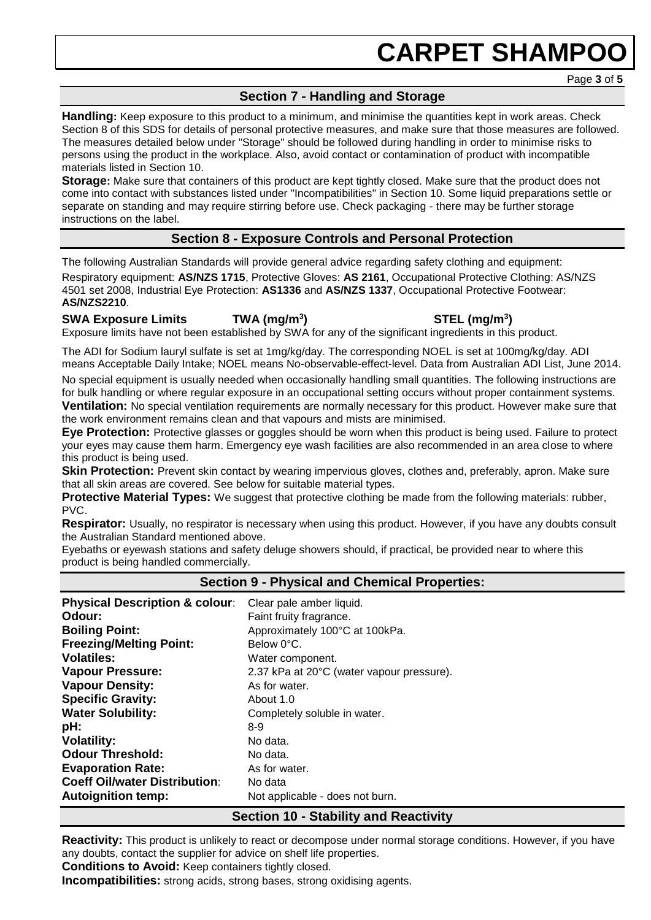Page **3** of **5**

# **Section 7 - Handling and Storage**

**Handling:** Keep exposure to this product to a minimum, and minimise the quantities kept in work areas. Check Section 8 of this SDS for details of personal protective measures, and make sure that those measures are followed. The measures detailed below under "Storage" should be followed during handling in order to minimise risks to persons using the product in the workplace. Also, avoid contact or contamination of product with incompatible materials listed in Section 10.

**Storage:** Make sure that containers of this product are kept tightly closed. Make sure that the product does not come into contact with substances listed under "Incompatibilities" in Section 10. Some liquid preparations settle or separate on standing and may require stirring before use. Check packaging - there may be further storage instructions on the label.

# **Section 8 - Exposure Controls and Personal Protection**

The following Australian Standards will provide general advice regarding safety clothing and equipment:

Respiratory equipment: **AS/NZS 1715**, Protective Gloves: **AS 2161**, Occupational Protective Clothing: AS/NZS 4501 set 2008, Industrial Eye Protection: **AS1336** and **AS/NZS 1337**, Occupational Protective Footwear: **AS/NZS2210**.

### **SWA Exposure Limits TWA (mg/m<sup>3</sup>**

**) STEL (mg/m<sup>3</sup> )**

Exposure limits have not been established by SWA for any of the significant ingredients in this product.

The ADI for Sodium lauryl sulfate is set at 1mg/kg/day. The corresponding NOEL is set at 100mg/kg/day. ADI means Acceptable Daily Intake; NOEL means No-observable-effect-level. Data from Australian ADI List, June 2014.

No special equipment is usually needed when occasionally handling small quantities. The following instructions are for bulk handling or where regular exposure in an occupational setting occurs without proper containment systems. **Ventilation:** No special ventilation requirements are normally necessary for this product. However make sure that the work environment remains clean and that vapours and mists are minimised.

**Eye Protection:** Protective glasses or goggles should be worn when this product is being used. Failure to protect your eyes may cause them harm. Emergency eye wash facilities are also recommended in an area close to where this product is being used.

**Skin Protection:** Prevent skin contact by wearing impervious gloves, clothes and, preferably, apron. Make sure that all skin areas are covered. See below for suitable material types.

**Protective Material Types:** We suggest that protective clothing be made from the following materials: rubber, PVC.

**Respirator:** Usually, no respirator is necessary when using this product. However, if you have any doubts consult the Australian Standard mentioned above.

Eyebaths or eyewash stations and safety deluge showers should, if practical, be provided near to where this product is being handled commercially.

# **Section 9 - Physical and Chemical Properties:**

| Clear pale amber liquid.<br>Faint fruity fragrance.<br>Approximately 100°C at 100kPa.<br>Below 0°C.<br>Water component.<br>2.37 kPa at 20°C (water vapour pressure).<br>As for water.<br>About 1.0<br>Completely soluble in water.<br>8-9<br>No data.<br>No data.<br>As for water.<br>No data |
|-----------------------------------------------------------------------------------------------------------------------------------------------------------------------------------------------------------------------------------------------------------------------------------------------|
| Not applicable - does not burn.                                                                                                                                                                                                                                                               |
|                                                                                                                                                                                                                                                                                               |

#### **Section 10 - Stability and Reactivity**

**Reactivity:** This product is unlikely to react or decompose under normal storage conditions. However, if you have any doubts, contact the supplier for advice on shelf life properties.

**Conditions to Avoid:** Keep containers tightly closed.

**Incompatibilities:** strong acids, strong bases, strong oxidising agents.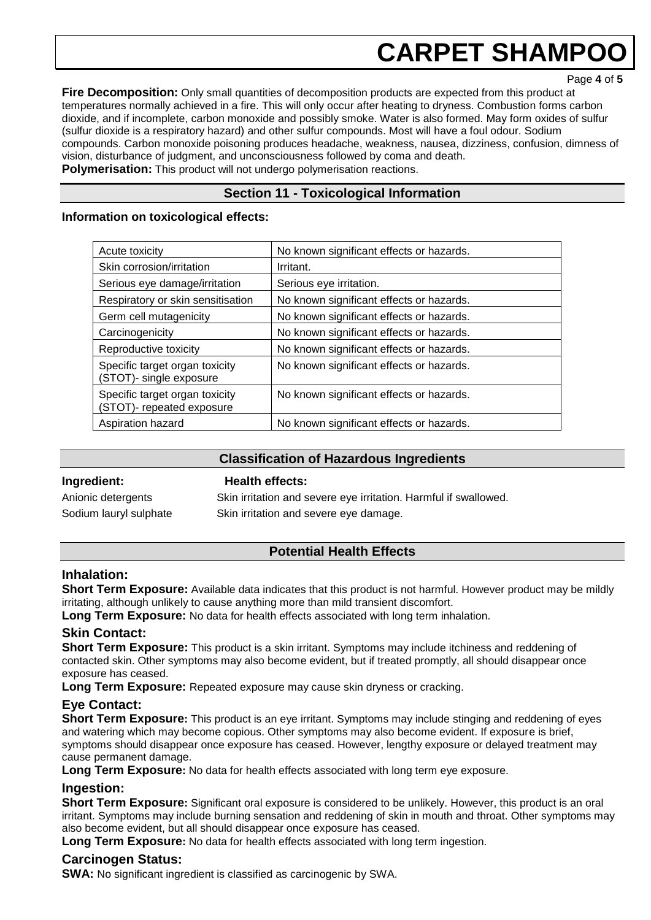Page **4** of **5**

**Fire Decomposition:** Only small quantities of decomposition products are expected from this product at temperatures normally achieved in a fire. This will only occur after heating to dryness. Combustion forms carbon dioxide, and if incomplete, carbon monoxide and possibly smoke. Water is also formed. May form oxides of sulfur (sulfur dioxide is a respiratory hazard) and other sulfur compounds. Most will have a foul odour. Sodium compounds. Carbon monoxide poisoning produces headache, weakness, nausea, dizziness, confusion, dimness of vision, disturbance of judgment, and unconsciousness followed by coma and death. **Polymerisation:** This product will not undergo polymerisation reactions.

**Section 11 - Toxicological Information**

### **Information on toxicological effects:**

| Acute toxicity                                              | No known significant effects or hazards. |  |  |
|-------------------------------------------------------------|------------------------------------------|--|--|
| Skin corrosion/irritation                                   | Irritant.                                |  |  |
| Serious eye damage/irritation                               | Serious eye irritation.                  |  |  |
| Respiratory or skin sensitisation                           | No known significant effects or hazards. |  |  |
| Germ cell mutagenicity                                      | No known significant effects or hazards. |  |  |
| Carcinogenicity                                             | No known significant effects or hazards. |  |  |
| Reproductive toxicity                                       | No known significant effects or hazards. |  |  |
| Specific target organ toxicity<br>(STOT)- single exposure   | No known significant effects or hazards. |  |  |
| Specific target organ toxicity<br>(STOT)- repeated exposure | No known significant effects or hazards. |  |  |
| Aspiration hazard                                           | No known significant effects or hazards. |  |  |

# **Classification of Hazardous Ingredients**

#### **Ingredient: Health effects:**

Anionic detergents Skin irritation and severe eye irritation. Harmful if swallowed. Sodium lauryl sulphate Skin irritation and severe eye damage.

# **Potential Health Effects**

# **Inhalation:**

**Short Term Exposure:** Available data indicates that this product is not harmful. However product may be mildly irritating, although unlikely to cause anything more than mild transient discomfort.

**Long Term Exposure:** No data for health effects associated with long term inhalation.

# **Skin Contact:**

**Short Term Exposure:** This product is a skin irritant. Symptoms may include itchiness and reddening of contacted skin. Other symptoms may also become evident, but if treated promptly, all should disappear once exposure has ceased.

**Long Term Exposure:** Repeated exposure may cause skin dryness or cracking.

# **Eye Contact:**

**Short Term Exposure:** This product is an eye irritant. Symptoms may include stinging and reddening of eyes and watering which may become copious. Other symptoms may also become evident. If exposure is brief, symptoms should disappear once exposure has ceased. However, lengthy exposure or delayed treatment may cause permanent damage.

**Long Term Exposure:** No data for health effects associated with long term eye exposure.

# **Ingestion:**

**Short Term Exposure:** Significant oral exposure is considered to be unlikely. However, this product is an oral irritant. Symptoms may include burning sensation and reddening of skin in mouth and throat. Other symptoms may also become evident, but all should disappear once exposure has ceased.

**Long Term Exposure:** No data for health effects associated with long term ingestion.

# **Carcinogen Status:**

**SWA:** No significant ingredient is classified as carcinogenic by SWA.